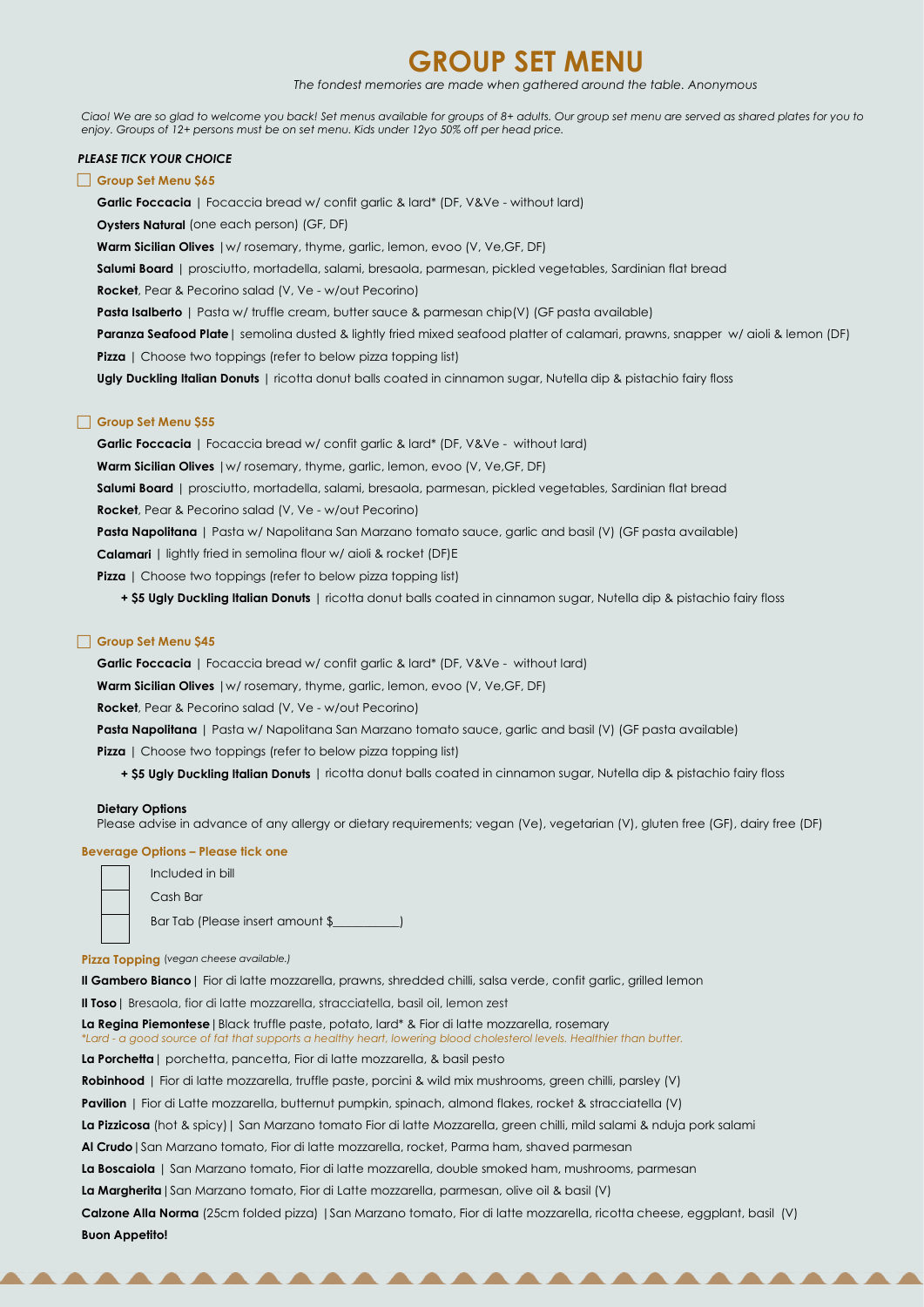# **GROUP SET MENU**

*The fondest memories are made when gathered around the table. Anonymous*

*Ciao! We are so glad to welcome you back! Set menus available for groups of 8+ adults. Our group set menu are served as shared plates for you to enjoy. Groups of 12+ persons must be on set menu. Kids under 12yo 50% off per head price.* 

# *PLEASE TICK YOUR CHOICE*

# **Group Set Menu \$65**

**Garlic Foccacia** | Focaccia bread w/ confit garlic & lard\* (DF, V&Ve - without lard)

**Paranza Seafood Plate**| semolina dusted & lightly fried mixed seafood platter of calamari, prawns, snapper w/ aioli & lemon (DF) **Pizza** | Choose two toppings (refer to below pizza topping list)

**Oysters Natural** (one each person) (GF, DF)

**Warm Sicilian Olives** |w/ rosemary, thyme, garlic, lemon, evoo (V, Ve, GF, DF)

**Salumi Board** | prosciutto, mortadella, salami, bresaola, parmesan, pickled vegetables, Sardinian flat bread

**Rocket**, Pear & Pecorino salad (V, Ve - w/out Pecorino)

**Pasta Isalberto** | Pasta w/ truffle cream, butter sauce & parmesan chip(V) (GF pasta available)

**Ugly Duckling Italian Donuts** | ricotta donut balls coated in cinnamon sugar, Nutella dip & pistachio fairy floss

## **Group Set Menu \$55**

**Garlic Foccacia** | Focaccia bread w/ confit garlic & lard\* (DF, V&Ve - without lard)

**Warm Sicilian Olives** |w/ rosemary, thyme, garlic, lemon, evoo (V, Ve, GF, DF)

**Salumi Board** | prosciutto, mortadella, salami, bresaola, parmesan, pickled vegetables, Sardinian flat bread

**Rocket**, Pear & Pecorino salad (V, Ve - w/out Pecorino)

**Pasta Napolitana** | Pasta w/ Napolitana San Marzano tomato sauce, garlic and basil (V) (GF pasta available)

**Calamari** | lightly fried in semolina flour w/ aioli & rocket (DF)E

**Pizza** | Choose two toppings (refer to below pizza topping list)

**+ \$5 Ugly Duckling Italian Donuts** | ricotta donut balls coated in cinnamon sugar, Nutella dip & pistachio fairy floss

## **Group Set Menu \$45**

**Garlic Foccacia** | Focaccia bread w/ confit garlic & lard\* (DF, V&Ve - without lard)

**Warm Sicilian Olives** | w/ rosemary, thyme, garlic, lemon, evoo (V, Ve, GF, DF)

**Rocket**, Pear & Pecorino salad (V, Ve - w/out Pecorino)

**Pasta Napolitana** | Pasta w/ Napolitana San Marzano tomato sauce, garlic and basil (V) (GF pasta available)

**Pizza** | Choose two toppings (refer to below pizza topping list)

**+ \$5 Ugly Duckling Italian Donuts** | ricotta donut balls coated in cinnamon sugar, Nutella dip & pistachio fairy floss

#### **Dietary Options**

Please advise in advance of any allergy or dietary requirements; vegan (Ve), vegetarian (V), gluten free (GF), dairy free (DF)

#### **Beverage Options – Please tick one**

| Included in bill                 |
|----------------------------------|
| Cash Bar                         |
| Bar Tab (Please insert amount \$ |

#### **Pizza Topping** (*vegan cheese available.)*

**Il Gambero Bianco**| Fior di latte mozzarella, prawns, shredded chilli, salsa verde, confit garlic, grilled lemon

**Il Toso**| Bresaola, fior di latte mozzarella, stracciatella, basil oil, lemon zest

**La Regina Piemontese**|Black truffle paste, potato, lard\* & Fior di latte mozzarella, rosemary *\*Lard - a good source of fat that supports a healthy heart, lowering blood cholesterol levels. Healthier than butter.* **La Porchetta**| porchetta, pancetta, Fior di latte mozzarella, & basil pesto **Robinhood** | Fior di latte mozzarella, truffle paste, porcini & wild mix mushrooms, green chilli, parsley (V) **Pavilion** | Fior di Latte mozzarella, butternut pumpkin, spinach, almond flakes, rocket & stracciatella (V) **La Pizzicosa** (hot & spicy)| San Marzano tomato Fior di latte Mozzarella, green chilli, mild salami & nduja pork salami **Al Crudo**|San Marzano tomato, Fior di latte mozzarella, rocket, Parma ham, shaved parmesan **La Boscaiola** | San Marzano tomato, Fior di latte mozzarella, double smoked ham, mushrooms, parmesan **La Margherita**|San Marzano tomato, Fior di Latte mozzarella, parmesan, olive oil & basil (V) **Calzone Alla Norma** (25cm folded pizza) |San Marzano tomato, Fior di latte mozzarella, ricotta cheese, eggplant, basil (V) **Buon Appetito!**